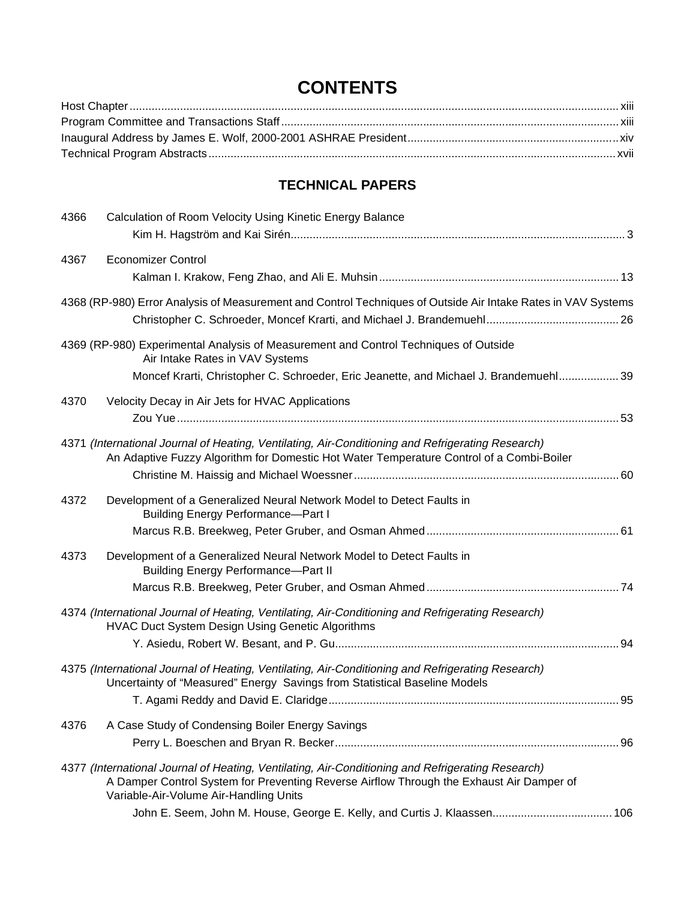## **CONTENTS**

## **TECHNICAL PAPERS**

| 4366 | Calculation of Room Velocity Using Kinetic Energy Balance                                                                                                                                                                               |  |
|------|-----------------------------------------------------------------------------------------------------------------------------------------------------------------------------------------------------------------------------------------|--|
| 4367 | <b>Economizer Control</b>                                                                                                                                                                                                               |  |
|      | 4368 (RP-980) Error Analysis of Measurement and Control Techniques of Outside Air Intake Rates in VAV Systems                                                                                                                           |  |
|      | 4369 (RP-980) Experimental Analysis of Measurement and Control Techniques of Outside<br>Air Intake Rates in VAV Systems<br>Moncef Krarti, Christopher C. Schroeder, Eric Jeanette, and Michael J. Brandemuehl 39                        |  |
| 4370 | Velocity Decay in Air Jets for HVAC Applications                                                                                                                                                                                        |  |
|      | 4371 (International Journal of Heating, Ventilating, Air-Conditioning and Refrigerating Research)<br>An Adaptive Fuzzy Algorithm for Domestic Hot Water Temperature Control of a Combi-Boiler                                           |  |
| 4372 | Development of a Generalized Neural Network Model to Detect Faults in<br><b>Building Energy Performance-Part I</b>                                                                                                                      |  |
| 4373 | Development of a Generalized Neural Network Model to Detect Faults in<br><b>Building Energy Performance-Part II</b>                                                                                                                     |  |
|      | 4374 (International Journal of Heating, Ventilating, Air-Conditioning and Refrigerating Research)<br>HVAC Duct System Design Using Genetic Algorithms                                                                                   |  |
|      | 4375 (International Journal of Heating, Ventilating, Air-Conditioning and Refrigerating Research)<br>Uncertainty of "Measured" Energy Savings from Statistical Baseline Models                                                          |  |
| 4376 | A Case Study of Condensing Boiler Energy Savings                                                                                                                                                                                        |  |
|      | 4377 (International Journal of Heating, Ventilating, Air-Conditioning and Refrigerating Research)<br>A Damper Control System for Preventing Reverse Airflow Through the Exhaust Air Damper of<br>Variable-Air-Volume Air-Handling Units |  |
|      |                                                                                                                                                                                                                                         |  |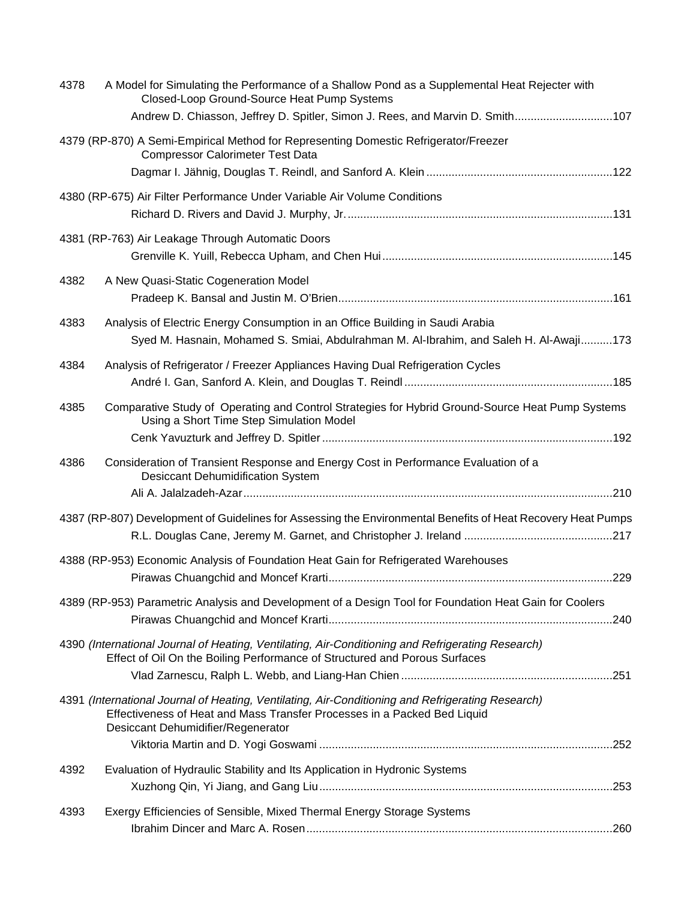| 4378 | A Model for Simulating the Performance of a Shallow Pond as a Supplemental Heat Rejecter with<br>Closed-Loop Ground-Source Heat Pump Systems<br>Andrew D. Chiasson, Jeffrey D. Spitler, Simon J. Rees, and Marvin D. Smith107 |      |
|------|-------------------------------------------------------------------------------------------------------------------------------------------------------------------------------------------------------------------------------|------|
|      | 4379 (RP-870) A Semi-Empirical Method for Representing Domestic Refrigerator/Freezer<br><b>Compressor Calorimeter Test Data</b>                                                                                               |      |
|      |                                                                                                                                                                                                                               |      |
|      | 4380 (RP-675) Air Filter Performance Under Variable Air Volume Conditions                                                                                                                                                     |      |
|      | 4381 (RP-763) Air Leakage Through Automatic Doors                                                                                                                                                                             |      |
| 4382 | A New Quasi-Static Cogeneration Model                                                                                                                                                                                         |      |
| 4383 | Analysis of Electric Energy Consumption in an Office Building in Saudi Arabia<br>Syed M. Hasnain, Mohamed S. Smiai, Abdulrahman M. Al-Ibrahim, and Saleh H. Al-Awaji173                                                       |      |
| 4384 | Analysis of Refrigerator / Freezer Appliances Having Dual Refrigeration Cycles                                                                                                                                                |      |
| 4385 | Comparative Study of Operating and Control Strategies for Hybrid Ground-Source Heat Pump Systems<br>Using a Short Time Step Simulation Model                                                                                  |      |
|      |                                                                                                                                                                                                                               |      |
| 4386 | Consideration of Transient Response and Energy Cost in Performance Evaluation of a<br><b>Desiccant Dehumidification System</b>                                                                                                |      |
|      |                                                                                                                                                                                                                               |      |
|      | 4387 (RP-807) Development of Guidelines for Assessing the Environmental Benefits of Heat Recovery Heat Pumps                                                                                                                  |      |
|      | 4388 (RP-953) Economic Analysis of Foundation Heat Gain for Refrigerated Warehouses                                                                                                                                           |      |
|      | 4389 (RP-953) Parametric Analysis and Development of a Design Tool for Foundation Heat Gain for Coolers                                                                                                                       |      |
|      | 4390 (International Journal of Heating, Ventilating, Air-Conditioning and Refrigerating Research)<br>Effect of Oil On the Boiling Performance of Structured and Porous Surfaces                                               |      |
|      |                                                                                                                                                                                                                               |      |
|      | 4391 (International Journal of Heating, Ventilating, Air-Conditioning and Refrigerating Research)<br>Effectiveness of Heat and Mass Transfer Processes in a Packed Bed Liquid<br>Desiccant Dehumidifier/Regenerator           |      |
|      |                                                                                                                                                                                                                               |      |
| 4392 | Evaluation of Hydraulic Stability and Its Application in Hydronic Systems                                                                                                                                                     |      |
|      |                                                                                                                                                                                                                               |      |
| 4393 | Exergy Efficiencies of Sensible, Mixed Thermal Energy Storage Systems                                                                                                                                                         |      |
|      |                                                                                                                                                                                                                               | .260 |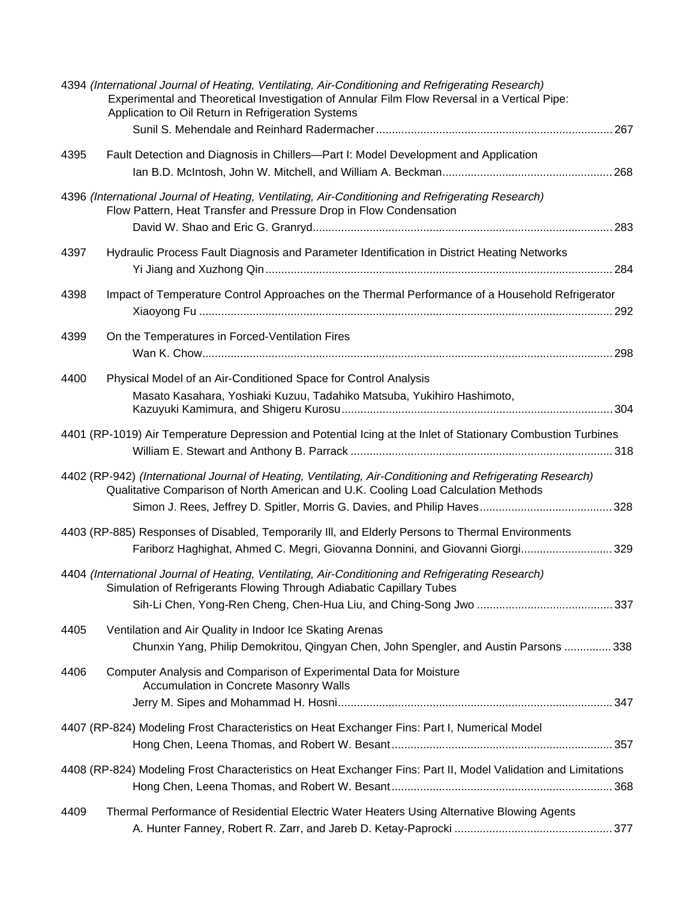|      | 4394 (International Journal of Heating, Ventilating, Air-Conditioning and Refrigerating Research)<br>Experimental and Theoretical Investigation of Annular Film Flow Reversal in a Vertical Pipe:<br>Application to Oil Return in Refrigeration Systems |  |
|------|---------------------------------------------------------------------------------------------------------------------------------------------------------------------------------------------------------------------------------------------------------|--|
|      |                                                                                                                                                                                                                                                         |  |
| 4395 | Fault Detection and Diagnosis in Chillers-Part I: Model Development and Application                                                                                                                                                                     |  |
|      |                                                                                                                                                                                                                                                         |  |
|      | 4396 (International Journal of Heating, Ventilating, Air-Conditioning and Refrigerating Research)<br>Flow Pattern, Heat Transfer and Pressure Drop in Flow Condensation                                                                                 |  |
|      |                                                                                                                                                                                                                                                         |  |
| 4397 | Hydraulic Process Fault Diagnosis and Parameter Identification in District Heating Networks                                                                                                                                                             |  |
| 4398 | Impact of Temperature Control Approaches on the Thermal Performance of a Household Refrigerator                                                                                                                                                         |  |
|      |                                                                                                                                                                                                                                                         |  |
| 4399 | On the Temperatures in Forced-Ventilation Fires                                                                                                                                                                                                         |  |
| 4400 | Physical Model of an Air-Conditioned Space for Control Analysis                                                                                                                                                                                         |  |
|      | Masato Kasahara, Yoshiaki Kuzuu, Tadahiko Matsuba, Yukihiro Hashimoto,                                                                                                                                                                                  |  |
|      | 4401 (RP-1019) Air Temperature Depression and Potential Icing at the Inlet of Stationary Combustion Turbines                                                                                                                                            |  |
|      | 4402 (RP-942) (International Journal of Heating, Ventilating, Air-Conditioning and Refrigerating Research)<br>Qualitative Comparison of North American and U.K. Cooling Load Calculation Methods                                                        |  |
|      |                                                                                                                                                                                                                                                         |  |
|      | 4403 (RP-885) Responses of Disabled, Temporarily III, and Elderly Persons to Thermal Environments<br>Fariborz Haghighat, Ahmed C. Megri, Giovanna Donnini, and Giovanni Giorgi 329                                                                      |  |
|      | 4404 (International Journal of Heating, Ventilating, Air-Conditioning and Refrigerating Research)<br>Simulation of Refrigerants Flowing Through Adiabatic Capillary Tubes                                                                               |  |
|      |                                                                                                                                                                                                                                                         |  |
| 4405 | Ventilation and Air Quality in Indoor Ice Skating Arenas<br>Chunxin Yang, Philip Demokritou, Qingyan Chen, John Spengler, and Austin Parsons  338                                                                                                       |  |
| 4406 | Computer Analysis and Comparison of Experimental Data for Moisture<br><b>Accumulation in Concrete Masonry Walls</b>                                                                                                                                     |  |
|      |                                                                                                                                                                                                                                                         |  |
|      | 4407 (RP-824) Modeling Frost Characteristics on Heat Exchanger Fins: Part I, Numerical Model                                                                                                                                                            |  |
|      | 4408 (RP-824) Modeling Frost Characteristics on Heat Exchanger Fins: Part II, Model Validation and Limitations                                                                                                                                          |  |
|      |                                                                                                                                                                                                                                                         |  |
| 4409 | Thermal Performance of Residential Electric Water Heaters Using Alternative Blowing Agents                                                                                                                                                              |  |
|      |                                                                                                                                                                                                                                                         |  |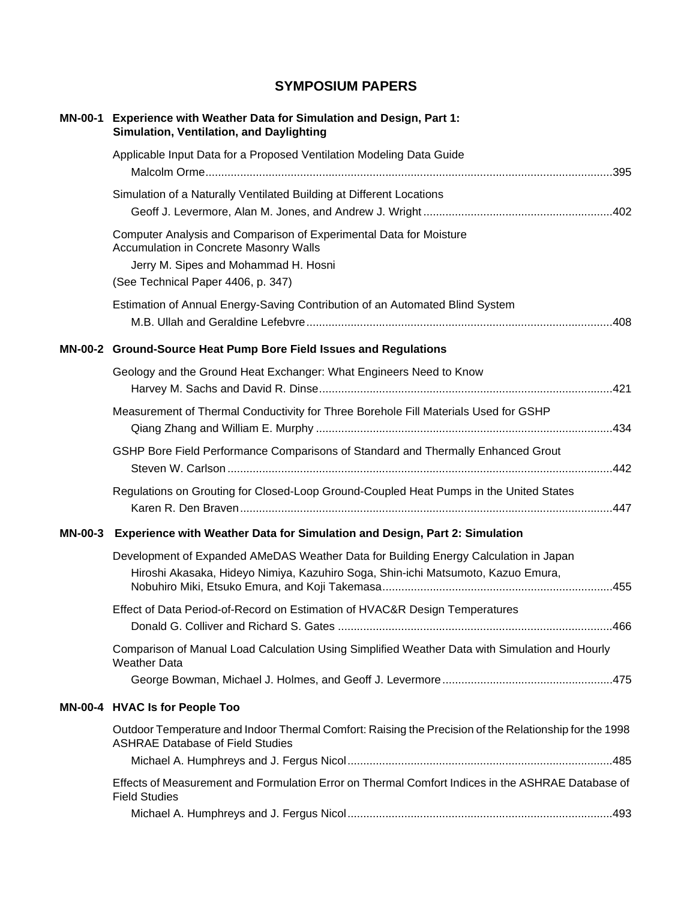## **SYMPOSIUM PAPERS**

| MN-00-1 Experience with Weather Data for Simulation and Design, Part 1:<br>Simulation, Ventilation, and Daylighting                                                                        |
|--------------------------------------------------------------------------------------------------------------------------------------------------------------------------------------------|
| Applicable Input Data for a Proposed Ventilation Modeling Data Guide                                                                                                                       |
| Simulation of a Naturally Ventilated Building at Different Locations                                                                                                                       |
| Computer Analysis and Comparison of Experimental Data for Moisture<br>Accumulation in Concrete Masonry Walls<br>Jerry M. Sipes and Mohammad H. Hosni<br>(See Technical Paper 4406, p. 347) |
| Estimation of Annual Energy-Saving Contribution of an Automated Blind System                                                                                                               |
| MN-00-2 Ground-Source Heat Pump Bore Field Issues and Regulations                                                                                                                          |
| Geology and the Ground Heat Exchanger: What Engineers Need to Know                                                                                                                         |
| Measurement of Thermal Conductivity for Three Borehole Fill Materials Used for GSHP                                                                                                        |
| GSHP Bore Field Performance Comparisons of Standard and Thermally Enhanced Grout                                                                                                           |
| Regulations on Grouting for Closed-Loop Ground-Coupled Heat Pumps in the United States                                                                                                     |
| MN-00-3 Experience with Weather Data for Simulation and Design, Part 2: Simulation                                                                                                         |
| Development of Expanded AMeDAS Weather Data for Building Energy Calculation in Japan<br>Hiroshi Akasaka, Hideyo Nimiya, Kazuhiro Soga, Shin-ichi Matsumoto, Kazuo Emura,                   |
| Effect of Data Period-of-Record on Estimation of HVAC&R Design Temperatures                                                                                                                |
| Comparison of Manual Load Calculation Using Simplified Weather Data with Simulation and Hourly<br><b>Weather Data</b>                                                                      |
| MN-00-4 HVAC Is for People Too                                                                                                                                                             |
| Outdoor Temperature and Indoor Thermal Comfort: Raising the Precision of the Relationship for the 1998<br><b>ASHRAE Database of Field Studies</b>                                          |
|                                                                                                                                                                                            |
| Effects of Measurement and Formulation Error on Thermal Comfort Indices in the ASHRAE Database of<br><b>Field Studies</b>                                                                  |
|                                                                                                                                                                                            |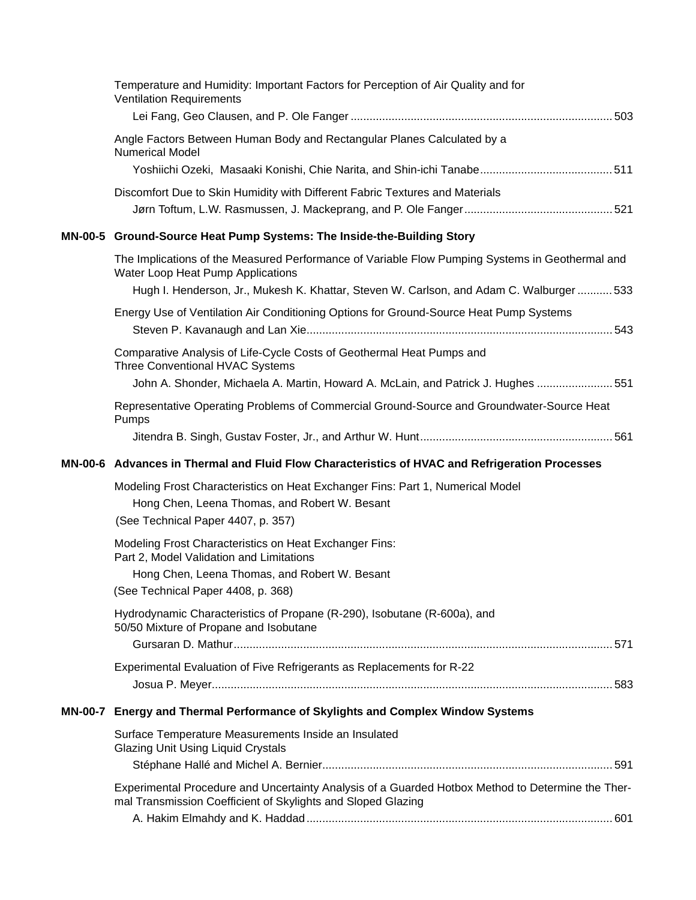|         | Temperature and Humidity: Important Factors for Perception of Air Quality and for<br><b>Ventilation Requirements</b>                                              |
|---------|-------------------------------------------------------------------------------------------------------------------------------------------------------------------|
|         | Angle Factors Between Human Body and Rectangular Planes Calculated by a                                                                                           |
|         | <b>Numerical Model</b>                                                                                                                                            |
|         | Discomfort Due to Skin Humidity with Different Fabric Textures and Materials                                                                                      |
|         |                                                                                                                                                                   |
|         | MN-00-5 Ground-Source Heat Pump Systems: The Inside-the-Building Story                                                                                            |
|         | The Implications of the Measured Performance of Variable Flow Pumping Systems in Geothermal and<br>Water Loop Heat Pump Applications                              |
|         | Hugh I. Henderson, Jr., Mukesh K. Khattar, Steven W. Carlson, and Adam C. Walburger  533                                                                          |
|         | Energy Use of Ventilation Air Conditioning Options for Ground-Source Heat Pump Systems                                                                            |
|         | Comparative Analysis of Life-Cycle Costs of Geothermal Heat Pumps and<br>Three Conventional HVAC Systems                                                          |
|         | John A. Shonder, Michaela A. Martin, Howard A. McLain, and Patrick J. Hughes  551                                                                                 |
|         | Representative Operating Problems of Commercial Ground-Source and Groundwater-Source Heat<br>Pumps                                                                |
|         |                                                                                                                                                                   |
|         | MN-00-6 Advances in Thermal and Fluid Flow Characteristics of HVAC and Refrigeration Processes                                                                    |
|         |                                                                                                                                                                   |
|         | Modeling Frost Characteristics on Heat Exchanger Fins: Part 1, Numerical Model<br>Hong Chen, Leena Thomas, and Robert W. Besant                                   |
|         | (See Technical Paper 4407, p. 357)                                                                                                                                |
|         | Modeling Frost Characteristics on Heat Exchanger Fins:<br>Part 2, Model Validation and Limitations                                                                |
|         | Hong Chen, Leena Thomas, and Robert W. Besant<br>(See Technical Paper 4408, p. 368)                                                                               |
|         | Hydrodynamic Characteristics of Propane (R-290), Isobutane (R-600a), and<br>50/50 Mixture of Propane and Isobutane                                                |
|         |                                                                                                                                                                   |
|         | Experimental Evaluation of Five Refrigerants as Replacements for R-22                                                                                             |
| MN-00-7 | Energy and Thermal Performance of Skylights and Complex Window Systems                                                                                            |
|         | Surface Temperature Measurements Inside an Insulated                                                                                                              |
|         | <b>Glazing Unit Using Liquid Crystals</b>                                                                                                                         |
|         | Experimental Procedure and Uncertainty Analysis of a Guarded Hotbox Method to Determine the Ther-<br>mal Transmission Coefficient of Skylights and Sloped Glazing |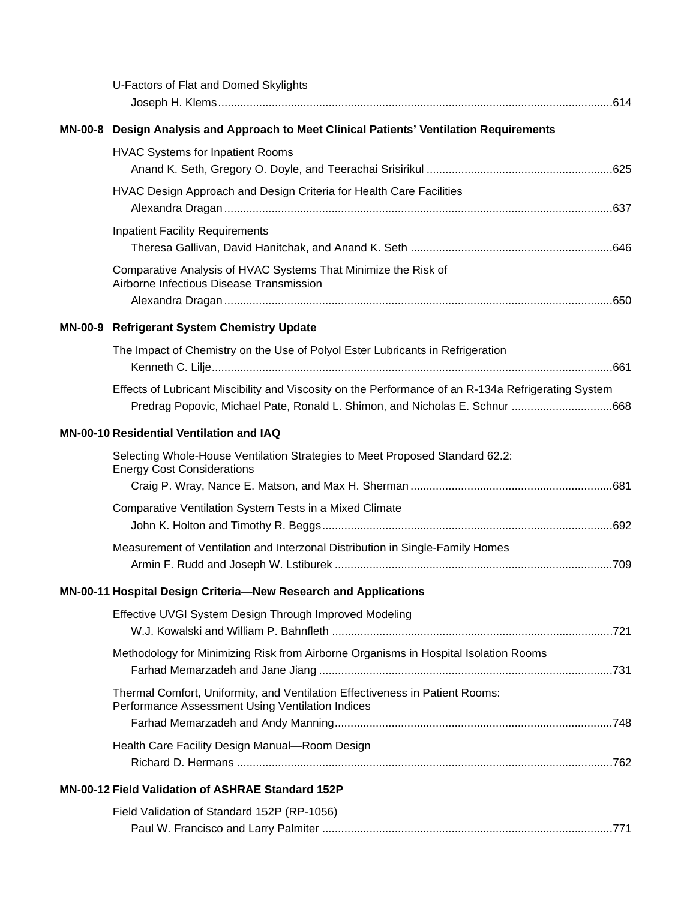| U-Factors of Flat and Domed Skylights                                                                                                                                              |  |
|------------------------------------------------------------------------------------------------------------------------------------------------------------------------------------|--|
| MN-00-8 Design Analysis and Approach to Meet Clinical Patients' Ventilation Requirements                                                                                           |  |
| <b>HVAC Systems for Inpatient Rooms</b>                                                                                                                                            |  |
| HVAC Design Approach and Design Criteria for Health Care Facilities                                                                                                                |  |
| <b>Inpatient Facility Requirements</b>                                                                                                                                             |  |
| Comparative Analysis of HVAC Systems That Minimize the Risk of<br>Airborne Infectious Disease Transmission                                                                         |  |
| MN-00-9 Refrigerant System Chemistry Update                                                                                                                                        |  |
| The Impact of Chemistry on the Use of Polyol Ester Lubricants in Refrigeration                                                                                                     |  |
| Effects of Lubricant Miscibility and Viscosity on the Performance of an R-134a Refrigerating System<br>Predrag Popovic, Michael Pate, Ronald L. Shimon, and Nicholas E. Schnur 668 |  |
| <b>MN-00-10 Residential Ventilation and IAQ</b>                                                                                                                                    |  |
| Selecting Whole-House Ventilation Strategies to Meet Proposed Standard 62.2:<br><b>Energy Cost Considerations</b>                                                                  |  |
| Comparative Ventilation System Tests in a Mixed Climate                                                                                                                            |  |
| Measurement of Ventilation and Interzonal Distribution in Single-Family Homes                                                                                                      |  |
| MN-00-11 Hospital Design Criteria-New Research and Applications                                                                                                                    |  |
| Effective UVGI System Design Through Improved Modeling                                                                                                                             |  |
| Methodology for Minimizing Risk from Airborne Organisms in Hospital Isolation Rooms                                                                                                |  |
| Thermal Comfort, Uniformity, and Ventilation Effectiveness in Patient Rooms:<br>Performance Assessment Using Ventilation Indices                                                   |  |
|                                                                                                                                                                                    |  |
| Health Care Facility Design Manual-Room Design                                                                                                                                     |  |
| <b>MN-00-12 Field Validation of ASHRAE Standard 152P</b>                                                                                                                           |  |
| Field Validation of Standard 152P (RP-1056)                                                                                                                                        |  |
|                                                                                                                                                                                    |  |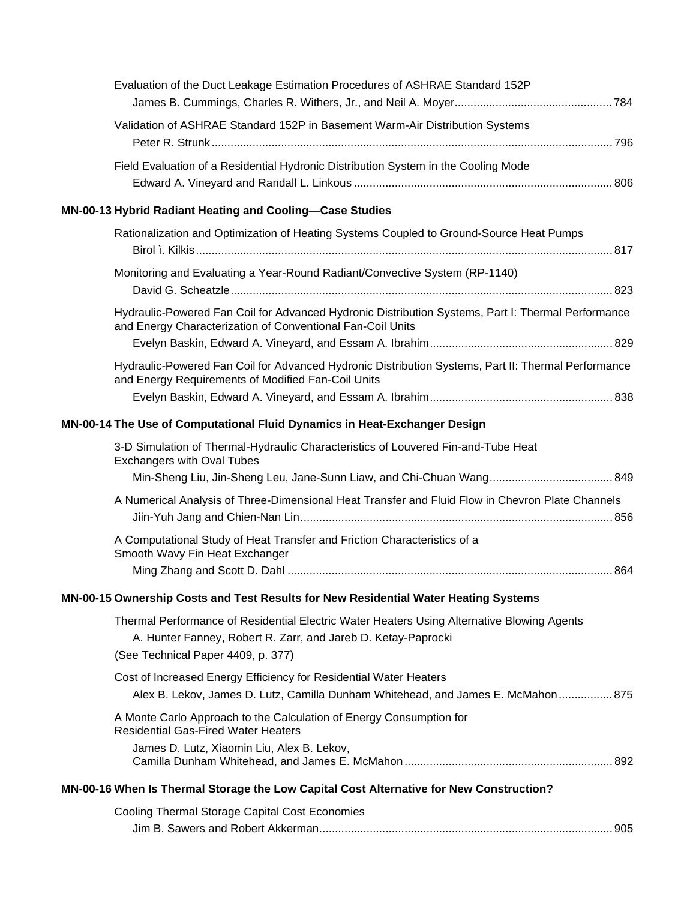| Evaluation of the Duct Leakage Estimation Procedures of ASHRAE Standard 152P                                                                                                                      |  |
|---------------------------------------------------------------------------------------------------------------------------------------------------------------------------------------------------|--|
|                                                                                                                                                                                                   |  |
| Validation of ASHRAE Standard 152P in Basement Warm-Air Distribution Systems                                                                                                                      |  |
| Field Evaluation of a Residential Hydronic Distribution System in the Cooling Mode                                                                                                                |  |
| MN-00-13 Hybrid Radiant Heating and Cooling-Case Studies                                                                                                                                          |  |
| Rationalization and Optimization of Heating Systems Coupled to Ground-Source Heat Pumps                                                                                                           |  |
| Monitoring and Evaluating a Year-Round Radiant/Convective System (RP-1140)                                                                                                                        |  |
| Hydraulic-Powered Fan Coil for Advanced Hydronic Distribution Systems, Part I: Thermal Performance<br>and Energy Characterization of Conventional Fan-Coil Units                                  |  |
|                                                                                                                                                                                                   |  |
| Hydraulic-Powered Fan Coil for Advanced Hydronic Distribution Systems, Part II: Thermal Performance<br>and Energy Requirements of Modified Fan-Coil Units                                         |  |
|                                                                                                                                                                                                   |  |
| MN-00-14 The Use of Computational Fluid Dynamics in Heat-Exchanger Design                                                                                                                         |  |
| 3-D Simulation of Thermal-Hydraulic Characteristics of Louvered Fin-and-Tube Heat<br><b>Exchangers with Oval Tubes</b>                                                                            |  |
|                                                                                                                                                                                                   |  |
| A Numerical Analysis of Three-Dimensional Heat Transfer and Fluid Flow in Chevron Plate Channels                                                                                                  |  |
| A Computational Study of Heat Transfer and Friction Characteristics of a<br>Smooth Wavy Fin Heat Exchanger                                                                                        |  |
|                                                                                                                                                                                                   |  |
| MN-00-15 Ownership Costs and Test Results for New Residential Water Heating Systems                                                                                                               |  |
| Thermal Performance of Residential Electric Water Heaters Using Alternative Blowing Agents<br>A. Hunter Fanney, Robert R. Zarr, and Jareb D. Ketay-Paprocki<br>(See Technical Paper 4409, p. 377) |  |
| Cost of Increased Energy Efficiency for Residential Water Heaters<br>Alex B. Lekov, James D. Lutz, Camilla Dunham Whitehead, and James E. McMahon  875                                            |  |
| A Monte Carlo Approach to the Calculation of Energy Consumption for<br><b>Residential Gas-Fired Water Heaters</b>                                                                                 |  |
| James D. Lutz, Xiaomin Liu, Alex B. Lekov,                                                                                                                                                        |  |
| MN-00-16 When Is Thermal Storage the Low Capital Cost Alternative for New Construction?                                                                                                           |  |
| Cooling Thermal Storage Capital Cost Economies                                                                                                                                                    |  |
|                                                                                                                                                                                                   |  |